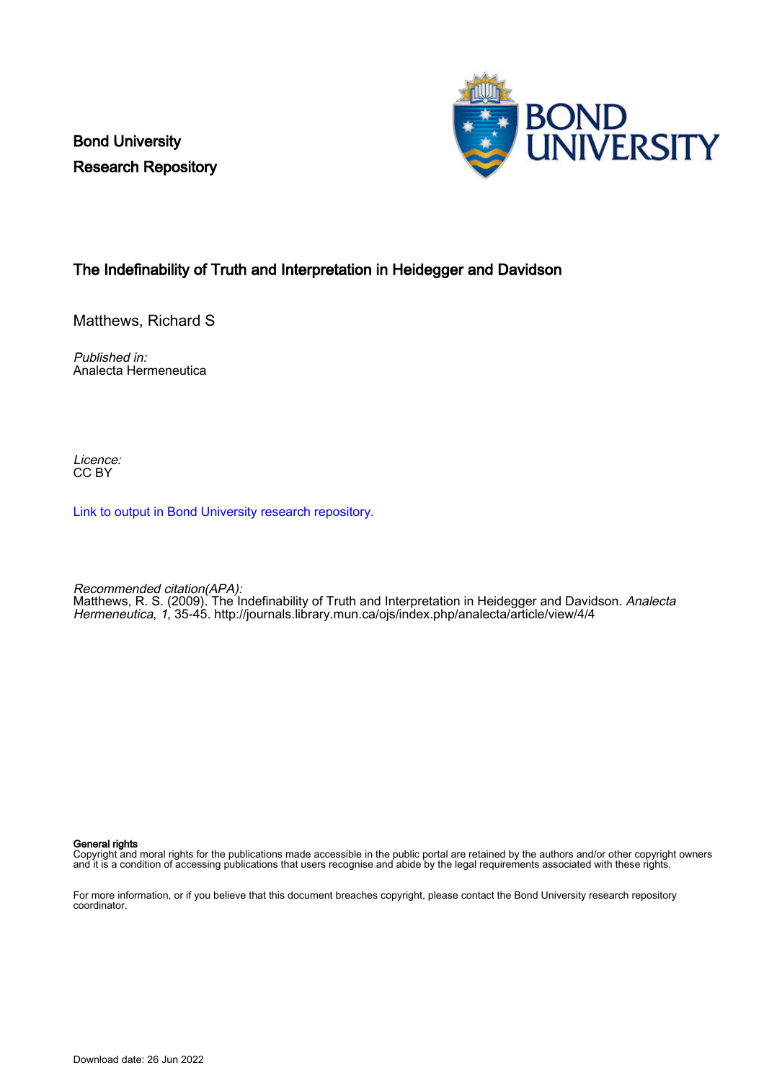Bond University Research Repository



# The Indefinability of Truth and Interpretation in Heidegger and Davidson

Matthews, Richard S

Published in: Analecta Hermeneutica

Licence: CC BY

[Link to output in Bond University research repository.](https://research.bond.edu.au/en/publications/d84a92b5-01cd-4d72-b9ee-f692165627c5)

Recommended citation(APA): Matthews, R. S. (2009). The Indefinability of Truth and Interpretation in Heidegger and Davidson. *Analecta* Hermeneutica, 1, 35-45. <http://journals.library.mun.ca/ojs/index.php/analecta/article/view/4/4>

General rights

Copyright and moral rights for the publications made accessible in the public portal are retained by the authors and/or other copyright owners and it is a condition of accessing publications that users recognise and abide by the legal requirements associated with these rights.

For more information, or if you believe that this document breaches copyright, please contact the Bond University research repository coordinator.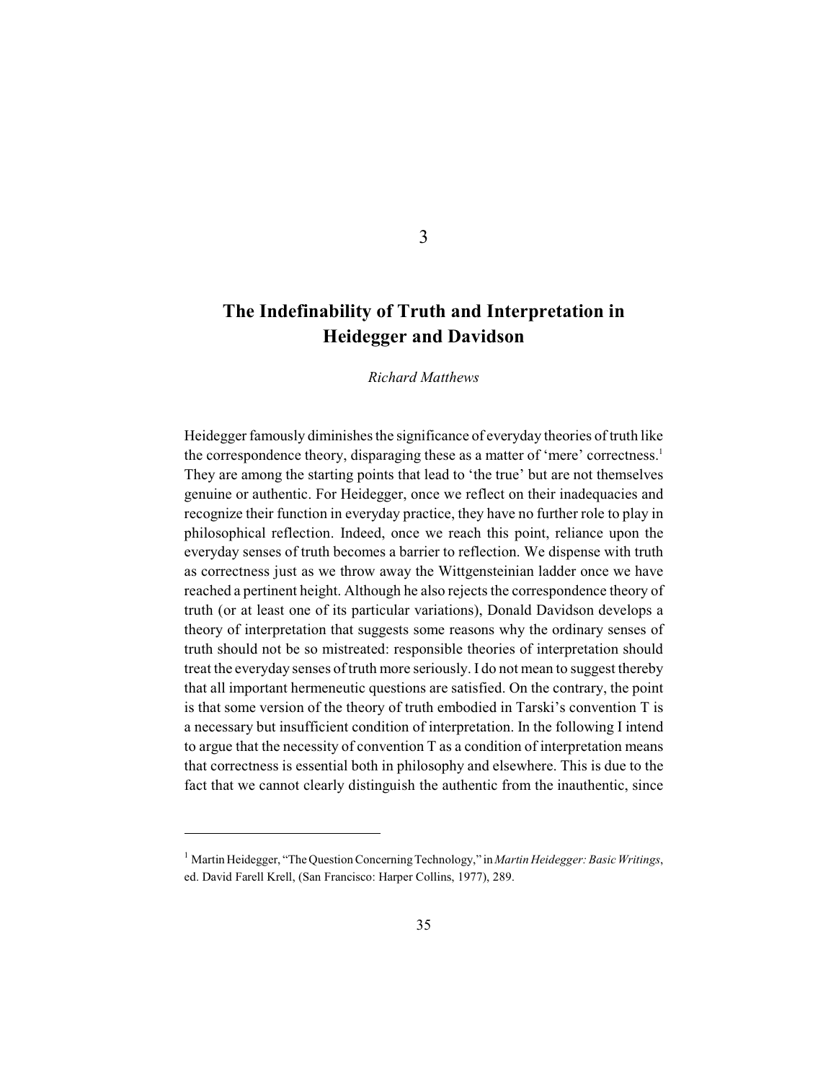# **The Indefinability of Truth and Interpretation in Heidegger and Davidson**

*Richard Matthews*

Heidegger famously diminishes the significance of everyday theories of truth like the correspondence theory, disparaging these as a matter of 'mere' correctness.<sup>1</sup> They are among the starting points that lead to 'the true' but are not themselves genuine or authentic. For Heidegger, once we reflect on their inadequacies and recognize their function in everyday practice, they have no further role to play in philosophical reflection. Indeed, once we reach this point, reliance upon the everyday senses of truth becomes a barrier to reflection. We dispense with truth as correctness just as we throw away the Wittgensteinian ladder once we have reached a pertinent height. Although he also rejects the correspondence theory of truth (or at least one of its particular variations), Donald Davidson develops a theory of interpretation that suggests some reasons why the ordinary senses of truth should not be so mistreated: responsible theories of interpretation should treat the everyday senses of truth more seriously. I do not mean to suggest thereby that all important hermeneutic questions are satisfied. On the contrary, the point is that some version of the theory of truth embodied in Tarski's convention T is a necessary but insufficient condition of interpretation. In the following I intend to argue that the necessity of convention T as a condition of interpretation means that correctness is essential both in philosophy and elsewhere. This is due to the fact that we cannot clearly distinguish the authentic from the inauthentic, since

3

<sup>&</sup>lt;sup>1</sup> Martin Heidegger, "The Question Concerning Technology," in *Martin Heidegger: Basic Writings*, ed. David Farell Krell, (San Francisco: Harper Collins, 1977), 289.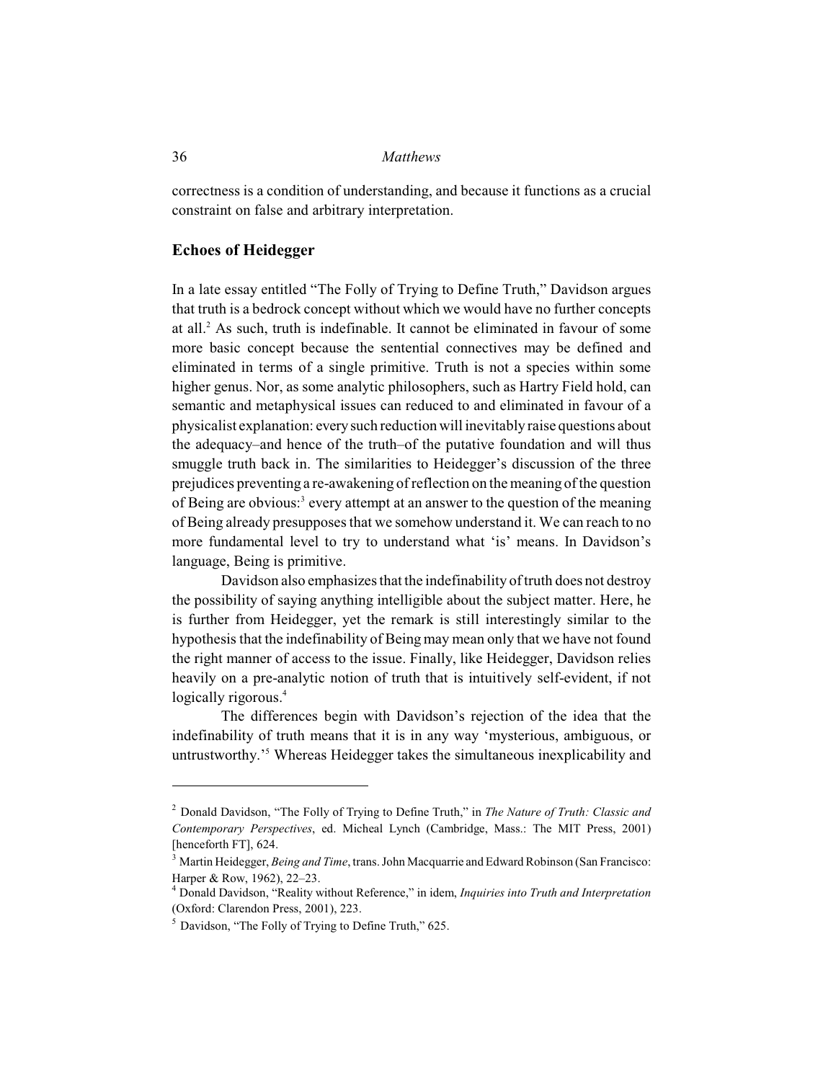correctness is a condition of understanding, and because it functions as a crucial constraint on false and arbitrary interpretation.

## **Echoes of Heidegger**

In a late essay entitled "The Folly of Trying to Define Truth," Davidson argues that truth is a bedrock concept without which we would have no further concepts at all. $<sup>2</sup>$  As such, truth is indefinable. It cannot be eliminated in favour of some</sup> more basic concept because the sentential connectives may be defined and eliminated in terms of a single primitive. Truth is not a species within some higher genus. Nor, as some analytic philosophers, such as Hartry Field hold, can semantic and metaphysical issues can reduced to and eliminated in favour of a physicalist explanation: every such reduction will inevitably raise questions about the adequacy–and hence of the truth–of the putative foundation and will thus smuggle truth back in. The similarities to Heidegger's discussion of the three prejudices preventing a re-awakening of reflection on the meaning of the question of Being are obvious:<sup>3</sup> every attempt at an answer to the question of the meaning of Being already presupposes that we somehow understand it. We can reach to no more fundamental level to try to understand what 'is' means. In Davidson's language, Being is primitive.

Davidson also emphasizes that the indefinability of truth does not destroy the possibility of saying anything intelligible about the subject matter. Here, he is further from Heidegger, yet the remark is still interestingly similar to the hypothesis that the indefinability of Being may mean only that we have not found the right manner of access to the issue. Finally, like Heidegger, Davidson relies heavily on a pre-analytic notion of truth that is intuitively self-evident, if not logically rigorous.<sup>4</sup>

The differences begin with Davidson's rejection of the idea that the indefinability of truth means that it is in any way 'mysterious, ambiguous, or untrustworthy.<sup>'5</sup> Whereas Heidegger takes the simultaneous inexplicability and

Donald Davidson, "The Folly of Trying to Define Truth," in *The Nature of Truth: Classic and* <sup>2</sup> *Contemporary Perspectives*, ed. Micheal Lynch (Cambridge, Mass.: The MIT Press, 2001) [henceforth FT], 624.

<sup>&</sup>lt;sup>3</sup> Martin Heidegger, *Being and Time*, trans. John Macquarrie and Edward Robinson (San Francisco: Harper & Row, 1962), 22–23.

Donald Davidson, "Reality without Reference," in idem, *Inquiries into Truth and Interpretation* <sup>4</sup> (Oxford: Clarendon Press, 2001), 223.

 $<sup>5</sup>$  Davidson, "The Folly of Trying to Define Truth," 625.</sup>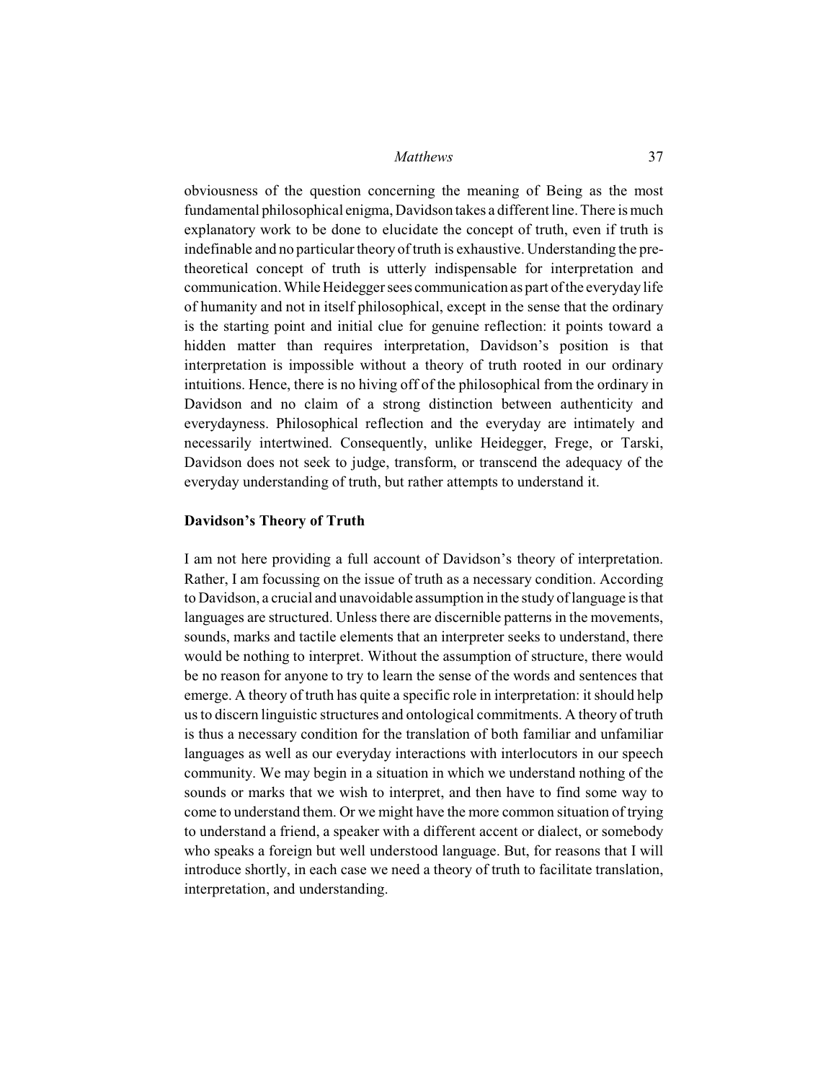obviousness of the question concerning the meaning of Being as the most fundamental philosophical enigma, Davidson takes a different line. There is much explanatory work to be done to elucidate the concept of truth, even if truth is indefinable and no particular theory of truth is exhaustive. Understanding the pretheoretical concept of truth is utterly indispensable for interpretation and communication. While Heidegger sees communication as part of the everyday life of humanity and not in itself philosophical, except in the sense that the ordinary is the starting point and initial clue for genuine reflection: it points toward a hidden matter than requires interpretation, Davidson's position is that interpretation is impossible without a theory of truth rooted in our ordinary intuitions. Hence, there is no hiving off of the philosophical from the ordinary in Davidson and no claim of a strong distinction between authenticity and everydayness. Philosophical reflection and the everyday are intimately and necessarily intertwined. Consequently, unlike Heidegger, Frege, or Tarski, Davidson does not seek to judge, transform, or transcend the adequacy of the everyday understanding of truth, but rather attempts to understand it.

#### **Davidson's Theory of Truth**

I am not here providing a full account of Davidson's theory of interpretation. Rather, I am focussing on the issue of truth as a necessary condition. According to Davidson, a crucial and unavoidable assumption in the study of language is that languages are structured. Unless there are discernible patterns in the movements, sounds, marks and tactile elements that an interpreter seeks to understand, there would be nothing to interpret. Without the assumption of structure, there would be no reason for anyone to try to learn the sense of the words and sentences that emerge. A theory of truth has quite a specific role in interpretation: it should help us to discern linguistic structures and ontological commitments. A theory of truth is thus a necessary condition for the translation of both familiar and unfamiliar languages as well as our everyday interactions with interlocutors in our speech community. We may begin in a situation in which we understand nothing of the sounds or marks that we wish to interpret, and then have to find some way to come to understand them. Or we might have the more common situation of trying to understand a friend, a speaker with a different accent or dialect, or somebody who speaks a foreign but well understood language. But, for reasons that I will introduce shortly, in each case we need a theory of truth to facilitate translation, interpretation, and understanding.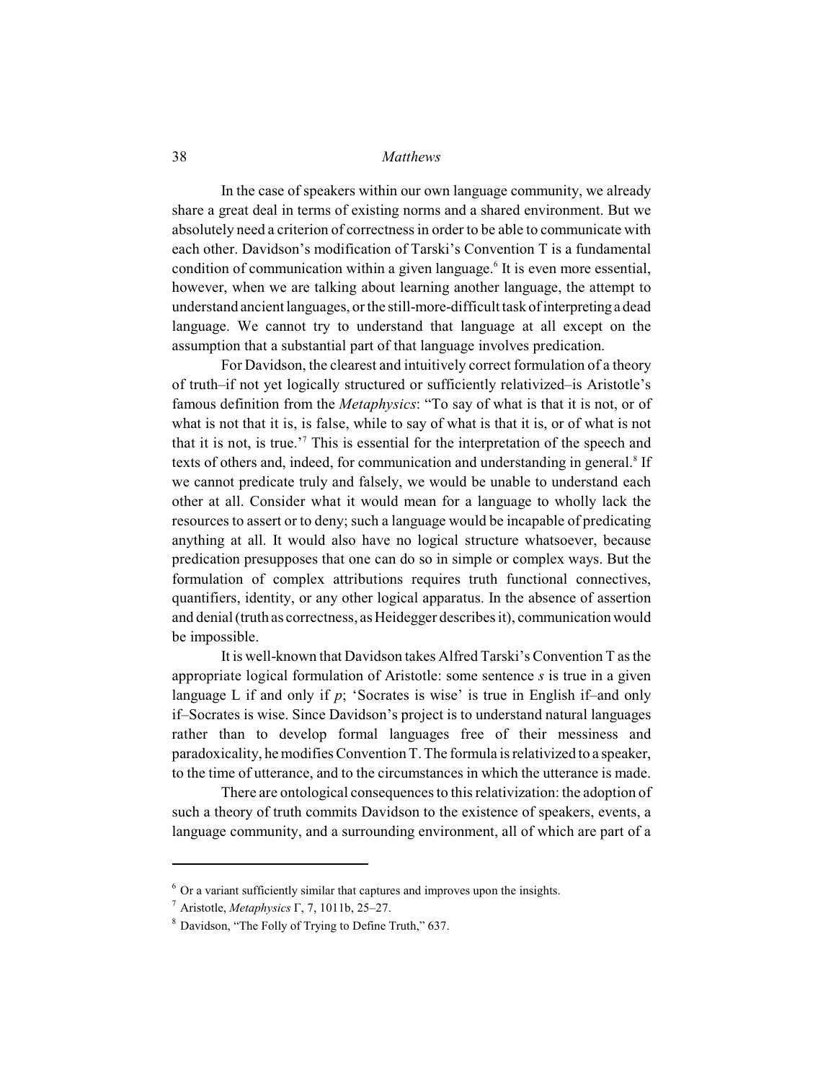In the case of speakers within our own language community, we already share a great deal in terms of existing norms and a shared environment. But we absolutely need a criterion of correctness in order to be able to communicate with each other. Davidson's modification of Tarski's Convention T is a fundamental condition of communication within a given language.<sup>6</sup> It is even more essential, however, when we are talking about learning another language, the attempt to understand ancient languages, or the still-more-difficult task of interpreting a dead language. We cannot try to understand that language at all except on the assumption that a substantial part of that language involves predication.

For Davidson, the clearest and intuitively correct formulation of a theory of truth–if not yet logically structured or sufficiently relativized–is Aristotle's famous definition from the *Metaphysics*: "To say of what is that it is not, or of what is not that it is, is false, while to say of what is that it is, or of what is not that it is not, is true.<sup> $\frac{7}{7}$ </sup> This is essential for the interpretation of the speech and texts of others and, indeed, for communication and understanding in general.<sup>8</sup> If we cannot predicate truly and falsely, we would be unable to understand each other at all. Consider what it would mean for a language to wholly lack the resources to assert or to deny; such a language would be incapable of predicating anything at all. It would also have no logical structure whatsoever, because predication presupposes that one can do so in simple or complex ways. But the formulation of complex attributions requires truth functional connectives, quantifiers, identity, or any other logical apparatus. In the absence of assertion and denial (truth as correctness, as Heidegger describes it), communication would be impossible.

It is well-known that Davidson takes Alfred Tarski's Convention T as the appropriate logical formulation of Aristotle: some sentence *s* is true in a given language L if and only if *p*; 'Socrates is wise' is true in English if–and only if–Socrates is wise. Since Davidson's project is to understand natural languages rather than to develop formal languages free of their messiness and paradoxicality, he modifies Convention T.The formula is relativized to a speaker, to the time of utterance, and to the circumstances in which the utterance is made.

There are ontological consequences to this relativization: the adoption of such a theory of truth commits Davidson to the existence of speakers, events, a language community, and a surrounding environment, all of which are part of a

 $6$  Or a variant sufficiently similar that captures and improves upon the insights.

<sup>&</sup>lt;sup>7</sup> Aristotle, *Metaphysics*  $\Gamma$ , 7, 1011b, 25–27.

<sup>&</sup>lt;sup>8</sup> Davidson, "The Folly of Trying to Define Truth," 637.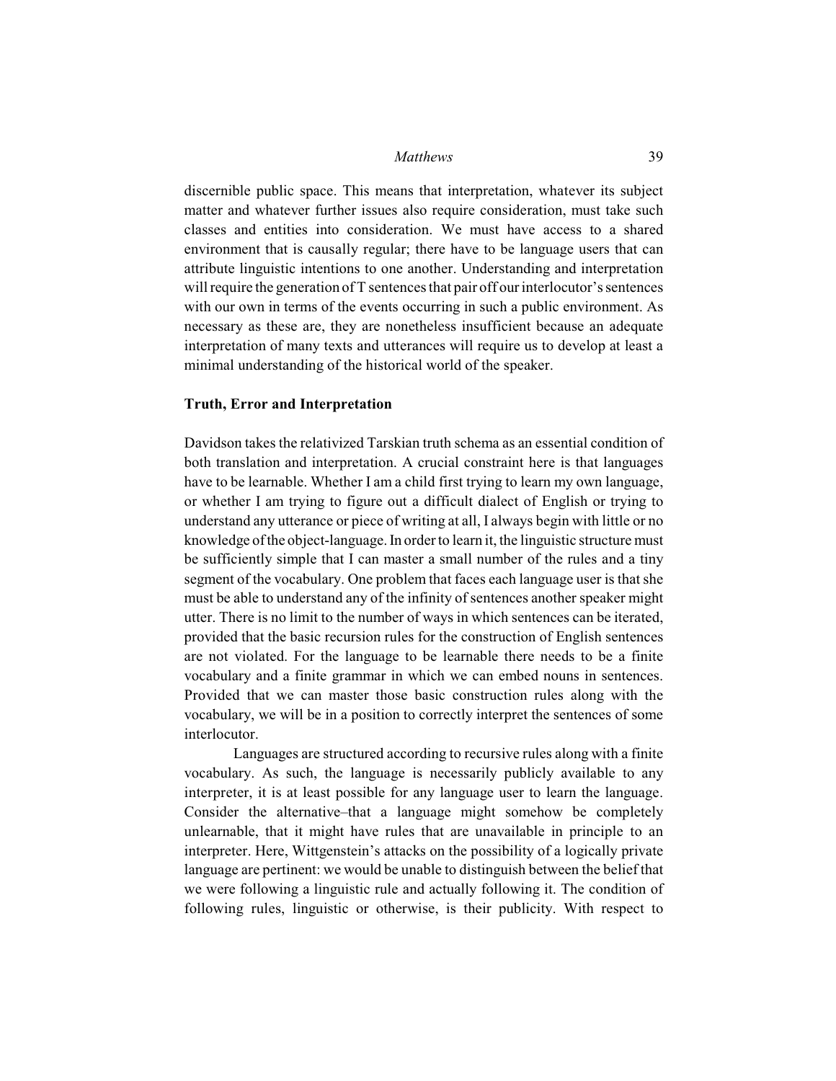discernible public space. This means that interpretation, whatever its subject matter and whatever further issues also require consideration, must take such classes and entities into consideration. We must have access to a shared environment that is causally regular; there have to be language users that can attribute linguistic intentions to one another. Understanding and interpretation will require the generation of T sentences that pair off our interlocutor's sentences with our own in terms of the events occurring in such a public environment. As necessary as these are, they are nonetheless insufficient because an adequate interpretation of many texts and utterances will require us to develop at least a minimal understanding of the historical world of the speaker.

# **Truth, Error and Interpretation**

Davidson takes the relativized Tarskian truth schema as an essential condition of both translation and interpretation. A crucial constraint here is that languages have to be learnable. Whether I am a child first trying to learn my own language, or whether I am trying to figure out a difficult dialect of English or trying to understand any utterance or piece of writing at all, I always begin with little or no knowledge of the object-language. In order to learn it, the linguistic structure must be sufficiently simple that I can master a small number of the rules and a tiny segment of the vocabulary. One problem that faces each language user is that she must be able to understand any of the infinity of sentences another speaker might utter. There is no limit to the number of ways in which sentences can be iterated, provided that the basic recursion rules for the construction of English sentences are not violated. For the language to be learnable there needs to be a finite vocabulary and a finite grammar in which we can embed nouns in sentences. Provided that we can master those basic construction rules along with the vocabulary, we will be in a position to correctly interpret the sentences of some interlocutor.

Languages are structured according to recursive rules along with a finite vocabulary. As such, the language is necessarily publicly available to any interpreter, it is at least possible for any language user to learn the language. Consider the alternative–that a language might somehow be completely unlearnable, that it might have rules that are unavailable in principle to an interpreter. Here, Wittgenstein's attacks on the possibility of a logically private language are pertinent: we would be unable to distinguish between the belief that we were following a linguistic rule and actually following it. The condition of following rules, linguistic or otherwise, is their publicity. With respect to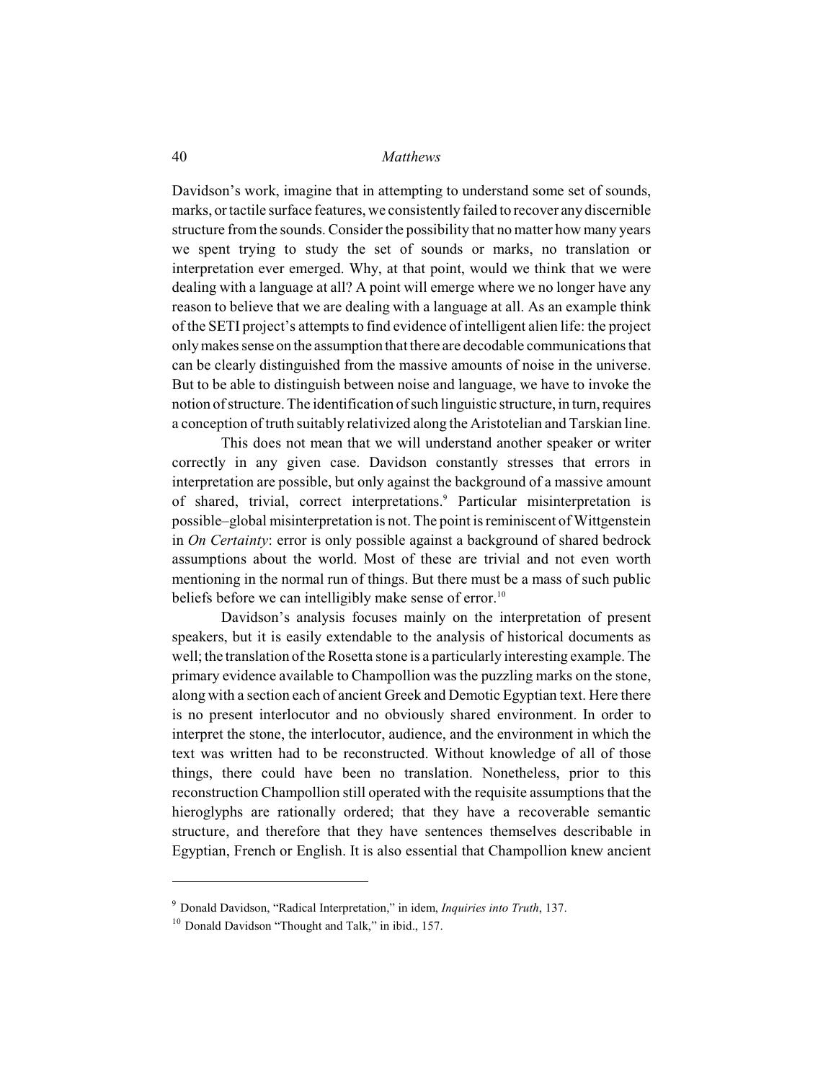Davidson's work, imagine that in attempting to understand some set of sounds, marks, or tactile surface features, we consistently failed to recover any discernible structure from the sounds. Consider the possibility that no matter how many years we spent trying to study the set of sounds or marks, no translation or interpretation ever emerged. Why, at that point, would we think that we were dealing with a language at all? A point will emerge where we no longer have any reason to believe that we are dealing with a language at all. As an example think of the SETI project's attempts to find evidence of intelligent alien life: the project only makes sense on the assumption that there are decodable communications that can be clearly distinguished from the massive amounts of noise in the universe. But to be able to distinguish between noise and language, we have to invoke the notion of structure. The identification of such linguistic structure, in turn, requires a conception of truth suitably relativized along the Aristotelian and Tarskian line.

This does not mean that we will understand another speaker or writer correctly in any given case. Davidson constantly stresses that errors in interpretation are possible, but only against the background of a massive amount of shared, trivial, correct interpretations. Particular misinterpretation is <sup>9</sup> possible–global misinterpretation is not. The point isreminiscent of Wittgenstein in *On Certainty*: error is only possible against a background of shared bedrock assumptions about the world. Most of these are trivial and not even worth mentioning in the normal run of things. But there must be a mass of such public beliefs before we can intelligibly make sense of error.<sup>10</sup>

Davidson's analysis focuses mainly on the interpretation of present speakers, but it is easily extendable to the analysis of historical documents as well; the translation of the Rosetta stone is a particularly interesting example. The primary evidence available to Champollion was the puzzling marks on the stone, along with a section each of ancient Greek and Demotic Egyptian text. Here there is no present interlocutor and no obviously shared environment. In order to interpret the stone, the interlocutor, audience, and the environment in which the text was written had to be reconstructed. Without knowledge of all of those things, there could have been no translation. Nonetheless, prior to this reconstruction Champollion still operated with the requisite assumptions that the hieroglyphs are rationally ordered; that they have a recoverable semantic structure, and therefore that they have sentences themselves describable in Egyptian, French or English. It is also essential that Champollion knew ancient

<sup>&</sup>lt;sup>9</sup> Donald Davidson, "Radical Interpretation," in idem, *Inquiries into Truth*, 137.

 $10$  Donald Davidson "Thought and Talk," in ibid., 157.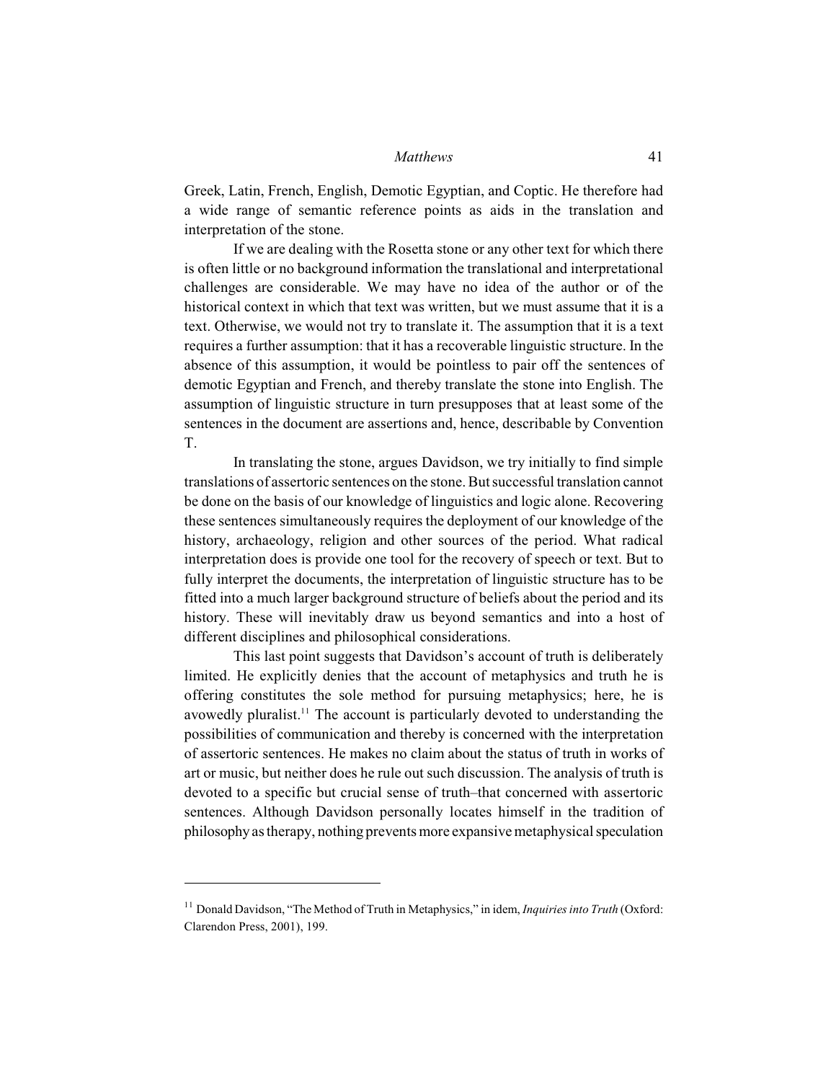Greek, Latin, French, English, Demotic Egyptian, and Coptic. He therefore had a wide range of semantic reference points as aids in the translation and interpretation of the stone.

If we are dealing with the Rosetta stone or any other text for which there is often little or no background information the translational and interpretational challenges are considerable. We may have no idea of the author or of the historical context in which that text was written, but we must assume that it is a text. Otherwise, we would not try to translate it. The assumption that it is a text requires a further assumption: that it has a recoverable linguistic structure. In the absence of this assumption, it would be pointless to pair off the sentences of demotic Egyptian and French, and thereby translate the stone into English. The assumption of linguistic structure in turn presupposes that at least some of the sentences in the document are assertions and, hence, describable by Convention T.

In translating the stone, argues Davidson, we try initially to find simple translations of assertoric sentences on the stone. But successful translation cannot be done on the basis of our knowledge of linguistics and logic alone. Recovering these sentences simultaneously requires the deployment of our knowledge of the history, archaeology, religion and other sources of the period. What radical interpretation does is provide one tool for the recovery of speech or text. But to fully interpret the documents, the interpretation of linguistic structure has to be fitted into a much larger background structure of beliefs about the period and its history. These will inevitably draw us beyond semantics and into a host of different disciplines and philosophical considerations.

This last point suggests that Davidson's account of truth is deliberately limited. He explicitly denies that the account of metaphysics and truth he is offering constitutes the sole method for pursuing metaphysics; here, he is avowedly pluralist.<sup>11</sup> The account is particularly devoted to understanding the possibilities of communication and thereby is concerned with the interpretation of assertoric sentences. He makes no claim about the status of truth in works of art or music, but neither does he rule out such discussion. The analysis of truth is devoted to a specific but crucial sense of truth–that concerned with assertoric sentences. Although Davidson personally locates himself in the tradition of philosophy as therapy, nothing prevents more expansive metaphysical speculation

<sup>&</sup>lt;sup>11</sup> Donald Davidson, "The Method of Truth in Metaphysics," in idem, *Inquiries into Truth* (Oxford: Clarendon Press, 2001), 199.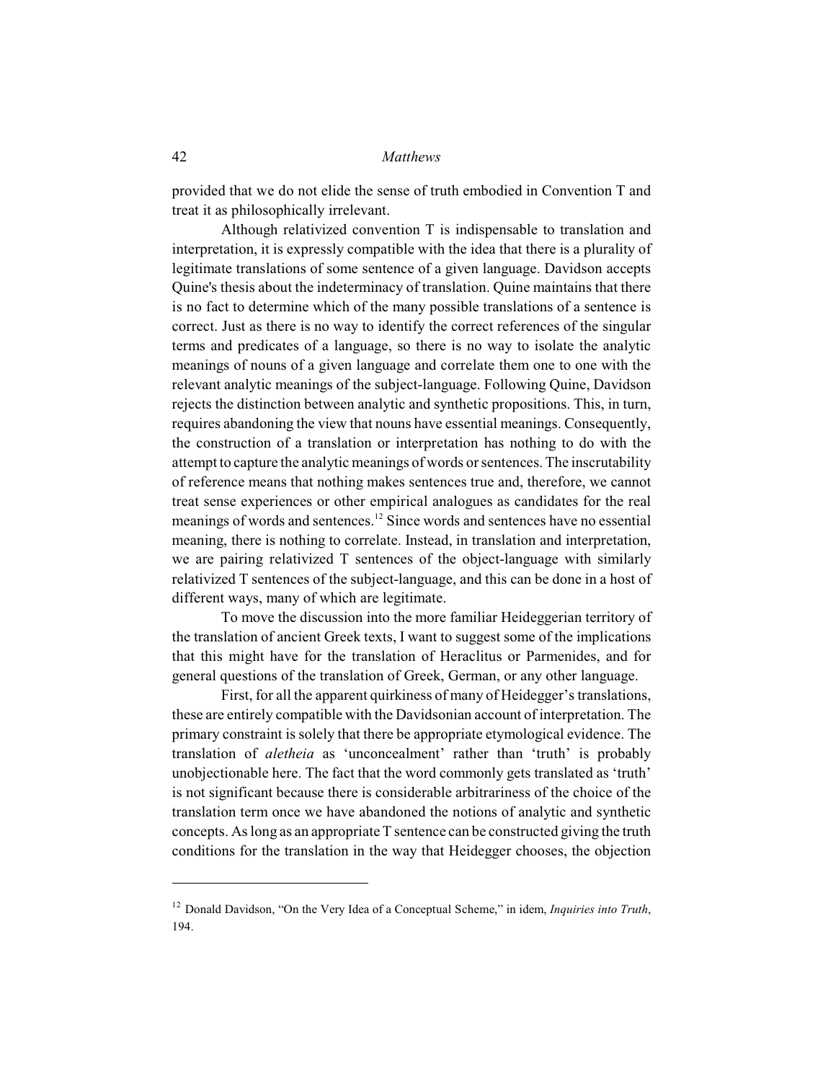provided that we do not elide the sense of truth embodied in Convention T and treat it as philosophically irrelevant.

Although relativized convention T is indispensable to translation and interpretation, it is expressly compatible with the idea that there is a plurality of legitimate translations of some sentence of a given language. Davidson accepts Quine's thesis about the indeterminacy of translation. Quine maintains that there is no fact to determine which of the many possible translations of a sentence is correct. Just as there is no way to identify the correct references of the singular terms and predicates of a language, so there is no way to isolate the analytic meanings of nouns of a given language and correlate them one to one with the relevant analytic meanings of the subject-language. Following Quine, Davidson rejects the distinction between analytic and synthetic propositions. This, in turn, requires abandoning the view that nouns have essential meanings. Consequently, the construction of a translation or interpretation has nothing to do with the attempt to capture the analytic meanings of words or sentences. The inscrutability of reference means that nothing makes sentences true and, therefore, we cannot treat sense experiences or other empirical analogues as candidates for the real meanings of words and sentences. $^{12}$  Since words and sentences have no essential meaning, there is nothing to correlate. Instead, in translation and interpretation, we are pairing relativized T sentences of the object-language with similarly relativized T sentences of the subject-language, and this can be done in a host of different ways, many of which are legitimate.

To move the discussion into the more familiar Heideggerian territory of the translation of ancient Greek texts, I want to suggest some of the implications that this might have for the translation of Heraclitus or Parmenides, and for general questions of the translation of Greek, German, or any other language.

First, for all the apparent quirkiness of many of Heidegger's translations, these are entirely compatible with the Davidsonian account of interpretation. The primary constraint is solely that there be appropriate etymological evidence. The translation of *aletheia* as 'unconcealment' rather than 'truth' is probably unobjectionable here. The fact that the word commonly gets translated as 'truth' is not significant because there is considerable arbitrariness of the choice of the translation term once we have abandoned the notions of analytic and synthetic  $concepts.$  As long as an appropriate  $T$  sentence can be constructed giving the truth conditions for the translation in the way that Heidegger chooses, the objection

<sup>&</sup>lt;sup>12</sup> Donald Davidson, "On the Very Idea of a Conceptual Scheme," in idem, *Inquiries into Truth*, 194.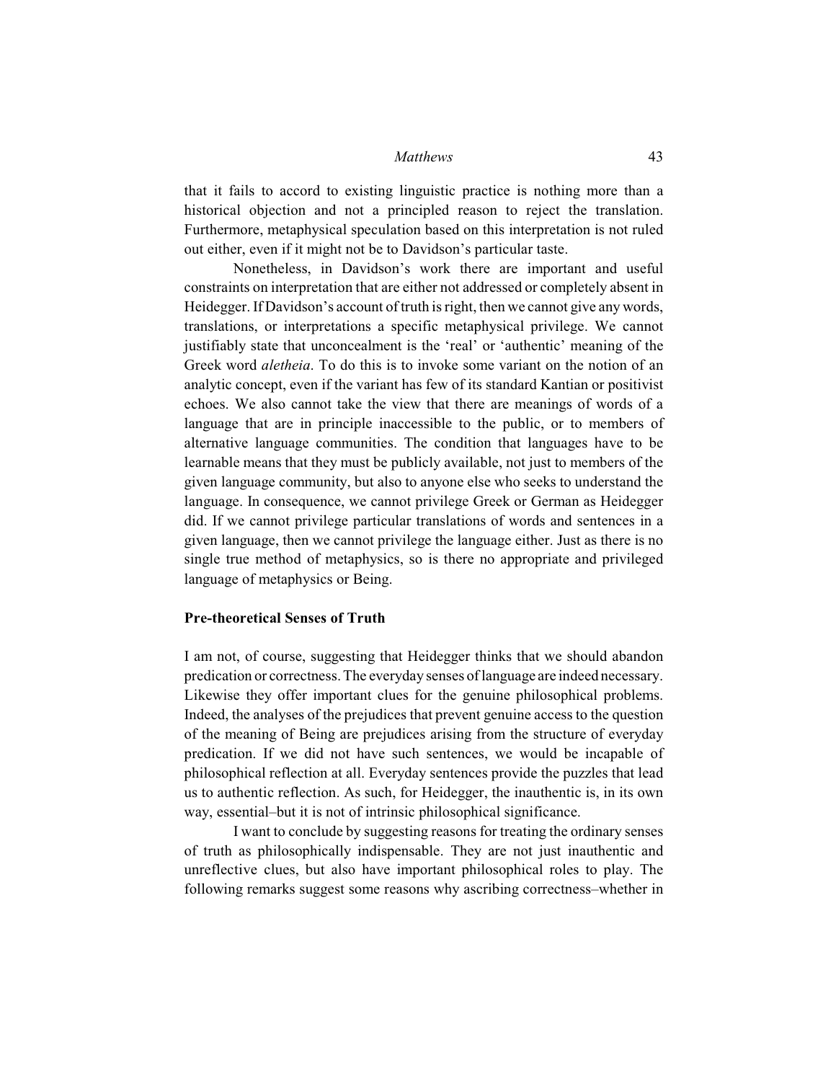that it fails to accord to existing linguistic practice is nothing more than a historical objection and not a principled reason to reject the translation. Furthermore, metaphysical speculation based on this interpretation is not ruled out either, even if it might not be to Davidson's particular taste.

Nonetheless, in Davidson's work there are important and useful constraints on interpretation that are either not addressed or completely absent in Heidegger. If Davidson's account of truth is right, then we cannot give any words, translations, or interpretations a specific metaphysical privilege. We cannot justifiably state that unconcealment is the 'real' or 'authentic' meaning of the Greek word *aletheia*. To do this is to invoke some variant on the notion of an analytic concept, even if the variant has few of its standard Kantian or positivist echoes. We also cannot take the view that there are meanings of words of a language that are in principle inaccessible to the public, or to members of alternative language communities. The condition that languages have to be learnable means that they must be publicly available, not just to members of the given language community, but also to anyone else who seeks to understand the language. In consequence, we cannot privilege Greek or German as Heidegger did. If we cannot privilege particular translations of words and sentences in a given language, then we cannot privilege the language either. Just as there is no single true method of metaphysics, so is there no appropriate and privileged language of metaphysics or Being.

# **Pre-theoretical Senses of Truth**

I am not, of course, suggesting that Heidegger thinks that we should abandon predication or correctness. The everyday senses of language are indeed necessary. Likewise they offer important clues for the genuine philosophical problems. Indeed, the analyses of the prejudices that prevent genuine access to the question of the meaning of Being are prejudices arising from the structure of everyday predication. If we did not have such sentences, we would be incapable of philosophical reflection at all. Everyday sentences provide the puzzles that lead us to authentic reflection. As such, for Heidegger, the inauthentic is, in its own way, essential–but it is not of intrinsic philosophical significance.

I want to conclude by suggesting reasons for treating the ordinary senses of truth as philosophically indispensable. They are not just inauthentic and unreflective clues, but also have important philosophical roles to play. The following remarks suggest some reasons why ascribing correctness–whether in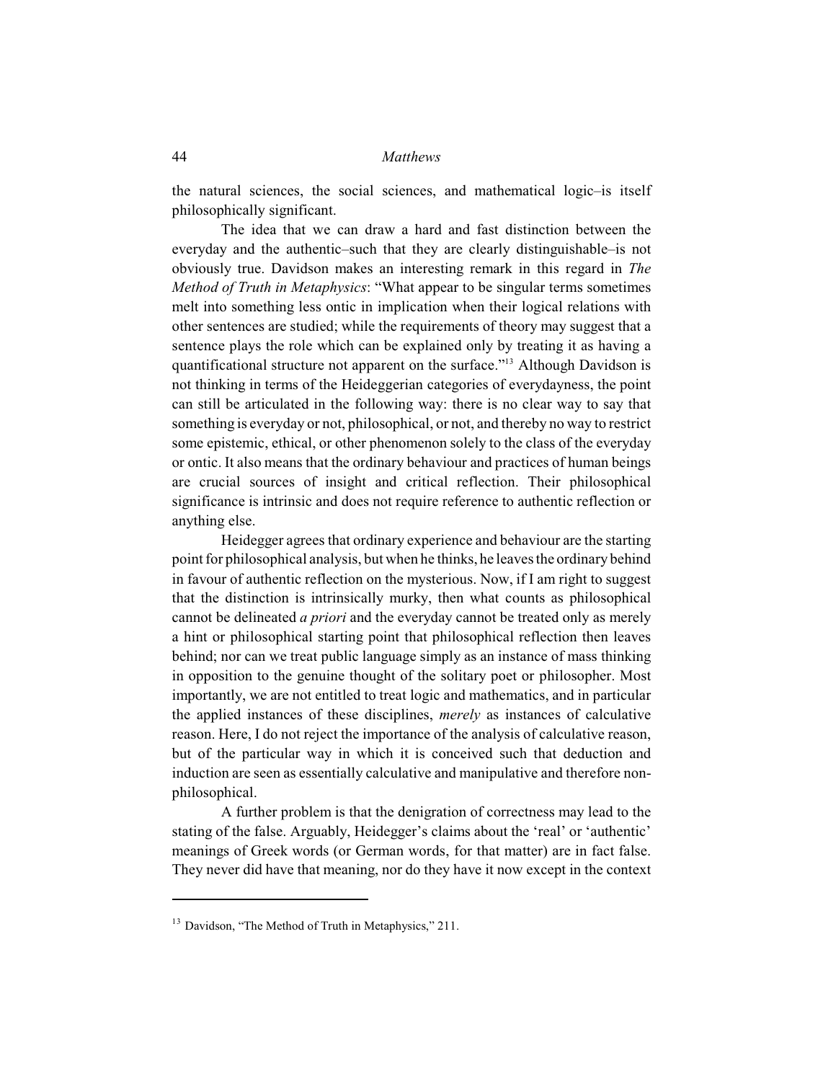the natural sciences, the social sciences, and mathematical logic–is itself philosophically significant.

The idea that we can draw a hard and fast distinction between the everyday and the authentic–such that they are clearly distinguishable–is not obviously true. Davidson makes an interesting remark in this regard in *The Method of Truth in Metaphysics*: "What appear to be singular terms sometimes melt into something less ontic in implication when their logical relations with other sentences are studied; while the requirements of theory may suggest that a sentence plays the role which can be explained only by treating it as having a quantificational structure not apparent on the surface."<sup>13</sup> Although Davidson is not thinking in terms of the Heideggerian categories of everydayness, the point can still be articulated in the following way: there is no clear way to say that something is everyday or not, philosophical, or not, and thereby no way to restrict some epistemic, ethical, or other phenomenon solely to the class of the everyday or ontic. It also means that the ordinary behaviour and practices of human beings are crucial sources of insight and critical reflection. Their philosophical significance is intrinsic and does not require reference to authentic reflection or anything else.

Heidegger agrees that ordinary experience and behaviour are the starting point for philosophical analysis, but when he thinks, he leaves the ordinary behind in favour of authentic reflection on the mysterious. Now, if I am right to suggest that the distinction is intrinsically murky, then what counts as philosophical cannot be delineated *a priori* and the everyday cannot be treated only as merely a hint or philosophical starting point that philosophical reflection then leaves behind; nor can we treat public language simply as an instance of mass thinking in opposition to the genuine thought of the solitary poet or philosopher. Most importantly, we are not entitled to treat logic and mathematics, and in particular the applied instances of these disciplines, *merely* as instances of calculative reason. Here, I do not reject the importance of the analysis of calculative reason, but of the particular way in which it is conceived such that deduction and induction are seen as essentially calculative and manipulative and therefore nonphilosophical.

A further problem is that the denigration of correctness may lead to the stating of the false. Arguably, Heidegger's claims about the 'real' or 'authentic' meanings of Greek words (or German words, for that matter) are in fact false. They never did have that meaning, nor do they have it now except in the context

 $13$  Davidson, "The Method of Truth in Metaphysics," 211.